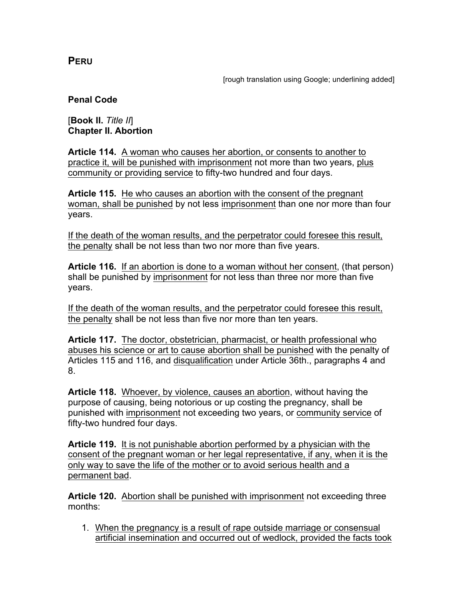**PERU**

[rough translation using Google; underlining added]

**Penal Code** 

[**Book II.** *Title II*] **Chapter II. Abortion** 

**Article 114.** A woman who causes her abortion, or consents to another to practice it, will be punished with imprisonment not more than two years, plus community or providing service to fifty-two hundred and four days.

**Article 115.** He who causes an abortion with the consent of the pregnant woman, shall be punished by not less imprisonment than one nor more than four years.

If the death of the woman results, and the perpetrator could foresee this result, the penalty shall be not less than two nor more than five years.

**Article 116.** If an abortion is done to a woman without her consent, (that person) shall be punished by imprisonment for not less than three nor more than five years.

If the death of the woman results, and the perpetrator could foresee this result, the penalty shall be not less than five nor more than ten years.

**Article 117.** The doctor, obstetrician, pharmacist, or health professional who abuses his science or art to cause abortion shall be punished with the penalty of Articles 115 and 116, and disqualification under Article 36th., paragraphs 4 and 8.

**Article 118.** Whoever, by violence, causes an abortion, without having the purpose of causing, being notorious or up costing the pregnancy, shall be punished with imprisonment not exceeding two years, or community service of fifty-two hundred four days.

**Article 119.** It is not punishable abortion performed by a physician with the consent of the pregnant woman or her legal representative, if any, when it is the only way to save the life of the mother or to avoid serious health and a permanent bad.

**Article 120.** Abortion shall be punished with imprisonment not exceeding three months:

1. When the pregnancy is a result of rape outside marriage or consensual artificial insemination and occurred out of wedlock, provided the facts took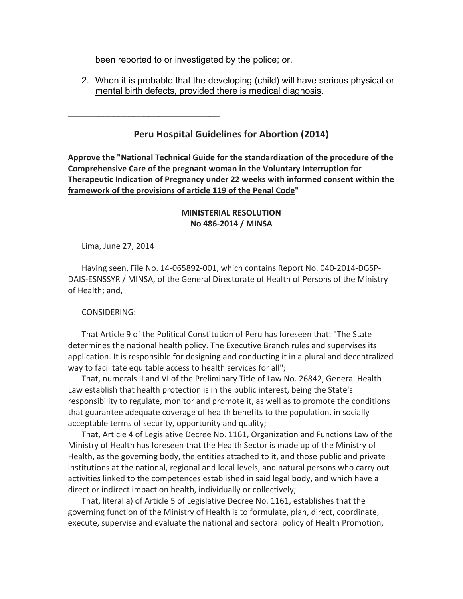been reported to or investigated by the police; or,

2. When it is probable that the developing (child) will have serious physical or mental birth defects, provided there is medical diagnosis.

**Peru Hospital Guidelines for Abortion (2014)** 

Approve the "National Technical Guide for the standardization of the procedure of the **Comprehensive Care of the pregnant woman in the Voluntary Interruption for Therapeutic Indication of Pregnancy under 22 weeks with informed consent within the** framework of the provisions of article 119 of the Penal Code"

### **MINISTERIAL RESOLUTION No 486-2014 / MINSA**

Lima, June 27, 2014

 $\mathcal{L}=\{1,2,3,4,5\}$ 

Having seen, File No. 14-065892-001, which contains Report No. 040-2014-DGSP-DAIS-ESNSSYR / MINSA, of the General Directorate of Health of Persons of the Ministry of Health; and,

### CONSIDERING:

That Article 9 of the Political Constitution of Peru has foreseen that: "The State determines the national health policy. The Executive Branch rules and supervises its application. It is responsible for designing and conducting it in a plural and decentralized way to facilitate equitable access to health services for all";

That, numerals II and VI of the Preliminary Title of Law No. 26842, General Health Law establish that health protection is in the public interest, being the State's responsibility to regulate, monitor and promote it, as well as to promote the conditions that guarantee adequate coverage of health benefits to the population, in socially acceptable terms of security, opportunity and quality;

That, Article 4 of Legislative Decree No. 1161, Organization and Functions Law of the Ministry of Health has foreseen that the Health Sector is made up of the Ministry of Health, as the governing body, the entities attached to it, and those public and private institutions at the national, regional and local levels, and natural persons who carry out activities linked to the competences established in said legal body, and which have a direct or indirect impact on health, individually or collectively;

That, literal a) of Article 5 of Legislative Decree No. 1161, establishes that the governing function of the Ministry of Health is to formulate, plan, direct, coordinate, execute, supervise and evaluate the national and sectoral policy of Health Promotion,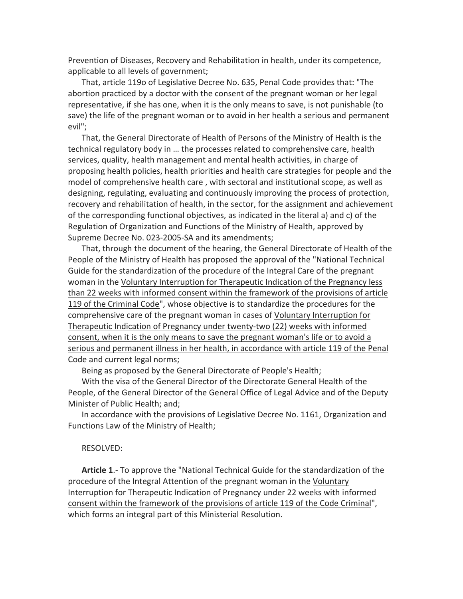Prevention of Diseases, Recovery and Rehabilitation in health, under its competence, applicable to all levels of government;

That, article 119o of Legislative Decree No. 635, Penal Code provides that: "The abortion practiced by a doctor with the consent of the pregnant woman or her legal representative, if she has one, when it is the only means to save, is not punishable (to save) the life of the pregnant woman or to avoid in her health a serious and permanent evil";

That, the General Directorate of Health of Persons of the Ministry of Health is the technical regulatory body in ... the processes related to comprehensive care, health services, quality, health management and mental health activities, in charge of proposing health policies, health priorities and health care strategies for people and the model of comprehensive health care, with sectoral and institutional scope, as well as designing, regulating, evaluating and continuously improving the process of protection, recovery and rehabilitation of health, in the sector, for the assignment and achievement of the corresponding functional objectives, as indicated in the literal a) and c) of the Regulation of Organization and Functions of the Ministry of Health, approved by Supreme Decree No. 023-2005-SA and its amendments;

That, through the document of the hearing, the General Directorate of Health of the People of the Ministry of Health has proposed the approval of the "National Technical Guide for the standardization of the procedure of the Integral Care of the pregnant woman in the Voluntary Interruption for Therapeutic Indication of the Pregnancy less than 22 weeks with informed consent within the framework of the provisions of article 119 of the Criminal Code", whose objective is to standardize the procedures for the comprehensive care of the pregnant woman in cases of Voluntary Interruption for Therapeutic Indication of Pregnancy under twenty-two (22) weeks with informed consent, when it is the only means to save the pregnant woman's life or to avoid a serious and permanent illness in her health, in accordance with article 119 of the Penal Code and current legal norms;

Being as proposed by the General Directorate of People's Health;

With the visa of the General Director of the Directorate General Health of the People, of the General Director of the General Office of Legal Advice and of the Deputy Minister of Public Health; and;

In accordance with the provisions of Legislative Decree No. 1161, Organization and Functions Law of the Ministry of Health;

#### RESOLVED:

Article 1.- To approve the "National Technical Guide for the standardization of the procedure of the Integral Attention of the pregnant woman in the Voluntary Interruption for Therapeutic Indication of Pregnancy under 22 weeks with informed consent within the framework of the provisions of article 119 of the Code Criminal", which forms an integral part of this Ministerial Resolution.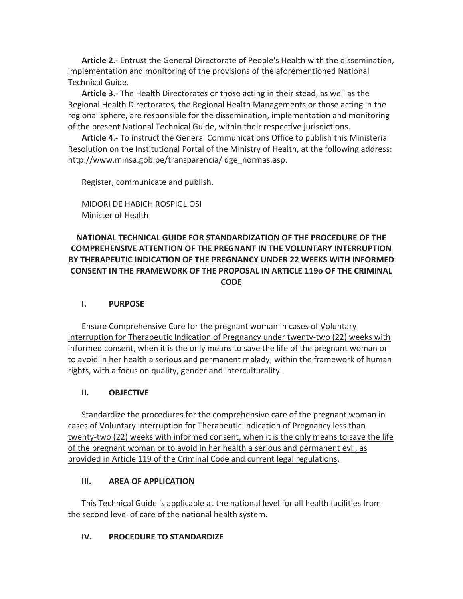**Article 2.**- Entrust the General Directorate of People's Health with the dissemination, implementation and monitoring of the provisions of the aforementioned National Technical Guide.

**Article 3**.- The Health Directorates or those acting in their stead, as well as the Regional Health Directorates, the Regional Health Managements or those acting in the regional sphere, are responsible for the dissemination, implementation and monitoring of the present National Technical Guide, within their respective jurisdictions.

**Article 4.**- To instruct the General Communications Office to publish this Ministerial Resolution on the Institutional Portal of the Ministry of Health, at the following address: http://www.minsa.gob.pe/transparencia/ dge\_normas.asp. 

Register, communicate and publish.

**MIDORI DE HABICH ROSPIGLIOSI** Minister of Health

# **NATIONAL TECHNICAL GUIDE FOR STANDARDIZATION OF THE PROCEDURE OF THE COMPREHENSIVE ATTENTION OF THE PREGNANT IN THE VOLUNTARY INTERRUPTION** BY THERAPEUTIC INDICATION OF THE PREGNANCY UNDER 22 WEEKS WITH INFORMED **CONSENT IN THE FRAMEWORK OF THE PROPOSAL IN ARTICLE 1190 OF THE CRIMINAL CODE**

## **I. PURPOSE**

Ensure Comprehensive Care for the pregnant woman in cases of Voluntary Interruption for Therapeutic Indication of Pregnancy under twenty-two (22) weeks with informed consent, when it is the only means to save the life of the pregnant woman or to avoid in her health a serious and permanent malady, within the framework of human rights, with a focus on quality, gender and interculturality.

## **II. OBJECTIVE**

Standardize the procedures for the comprehensive care of the pregnant woman in cases of Voluntary Interruption for Therapeutic Indication of Pregnancy less than twenty-two (22) weeks with informed consent, when it is the only means to save the life of the pregnant woman or to avoid in her health a serious and permanent evil, as provided in Article 119 of the Criminal Code and current legal regulations.

## **III. AREA OF APPLICATION**

This Technical Guide is applicable at the national level for all health facilities from the second level of care of the national health system.

## **IV. PROCEDURE TO STANDARDIZE**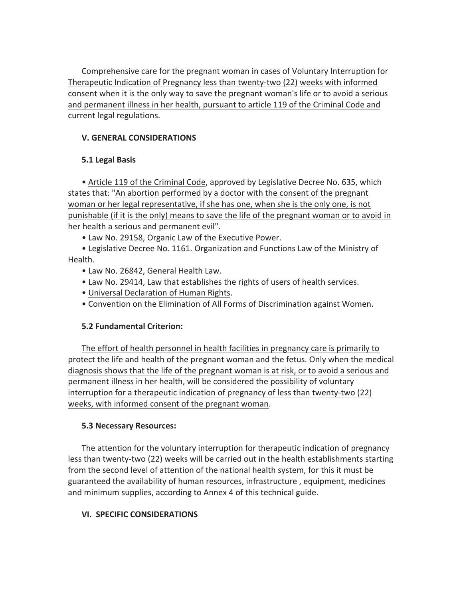Comprehensive care for the pregnant woman in cases of Voluntary Interruption for Therapeutic Indication of Pregnancy less than twenty-two (22) weeks with informed consent when it is the only way to save the pregnant woman's life or to avoid a serious and permanent illness in her health, pursuant to article 119 of the Criminal Code and current legal regulations.

# **V. GENERAL CONSIDERATIONS**

# **5.1 Legal Basis**

• Article 119 of the Criminal Code, approved by Legislative Decree No. 635, which states that: "An abortion performed by a doctor with the consent of the pregnant woman or her legal representative, if she has one, when she is the only one, is not punishable (if it is the only) means to save the life of the pregnant woman or to avoid in her health a serious and permanent evil".

• Law No. 29158, Organic Law of the Executive Power.

• Legislative Decree No. 1161. Organization and Functions Law of the Ministry of Health. 

- Law No. 26842, General Health Law.
- Law No. 29414, Law that establishes the rights of users of health services.
- Universal Declaration of Human Rights.
- Convention on the Elimination of All Forms of Discrimination against Women.

# **5.2 Fundamental Criterion:**

The effort of health personnel in health facilities in pregnancy care is primarily to protect the life and health of the pregnant woman and the fetus. Only when the medical diagnosis shows that the life of the pregnant woman is at risk, or to avoid a serious and permanent illness in her health, will be considered the possibility of voluntary interruption for a therapeutic indication of pregnancy of less than twenty-two (22) weeks, with informed consent of the pregnant woman.

# **5.3 Necessary Resources:**

The attention for the voluntary interruption for therapeutic indication of pregnancy less than twenty-two (22) weeks will be carried out in the health establishments starting from the second level of attention of the national health system, for this it must be guaranteed the availability of human resources, infrastructure, equipment, medicines and minimum supplies, according to Annex 4 of this technical guide.

## **VI. SPECIFIC CONSIDERATIONS**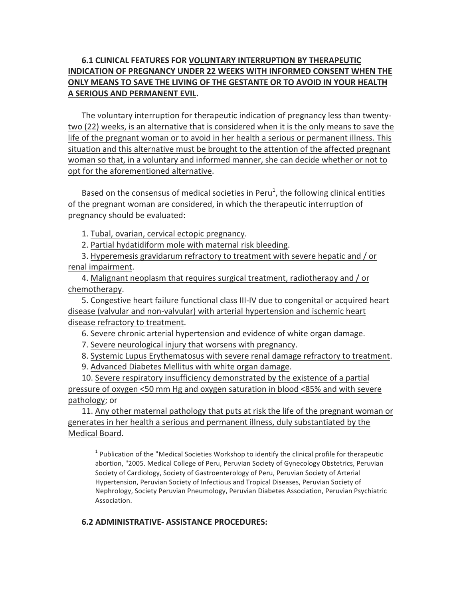# **6.1 CLINICAL FEATURES FOR VOLUNTARY INTERRUPTION BY THERAPEUTIC INDICATION OF PREGNANCY UNDER 22 WEEKS WITH INFORMED CONSENT WHEN THE ONLY MEANS TO SAVE THE LIVING OF THE GESTANTE OR TO AVOID IN YOUR HEALTH A SERIOUS AND PERMANENT EVIL.**

The voluntary interruption for therapeutic indication of pregnancy less than twentytwo (22) weeks, is an alternative that is considered when it is the only means to save the life of the pregnant woman or to avoid in her health a serious or permanent illness. This situation and this alternative must be brought to the attention of the affected pregnant woman so that, in a voluntary and informed manner, she can decide whether or not to opt for the aforementioned alternative.

Based on the consensus of medical societies in Peru<sup>1</sup>, the following clinical entities of the pregnant woman are considered, in which the therapeutic interruption of pregnancy should be evaluated:

1. Tubal, ovarian, cervical ectopic pregnancy.

2. Partial hydatidiform mole with maternal risk bleeding.

3. Hyperemesis gravidarum refractory to treatment with severe hepatic and / or renal impairment.

4. Malignant neoplasm that requires surgical treatment, radiotherapy and / or chemotherapy. 

5. Congestive heart failure functional class III-IV due to congenital or acquired heart disease (valvular and non-valvular) with arterial hypertension and ischemic heart disease refractory to treatment.

6. Severe chronic arterial hypertension and evidence of white organ damage.

7. Severe neurological injury that worsens with pregnancy.

8. Systemic Lupus Erythematosus with severe renal damage refractory to treatment.

9. Advanced Diabetes Mellitus with white organ damage.

10. Severe respiratory insufficiency demonstrated by the existence of a partial pressure of oxygen <50 mm Hg and oxygen saturation in blood <85% and with severe pathology; or

11. Any other maternal pathology that puts at risk the life of the pregnant woman or generates in her health a serious and permanent illness, duly substantiated by the Medical Board.

 $<sup>1</sup>$  Publication of the "Medical Societies Workshop to identify the clinical profile for therapeutic</sup> abortion, "2005. Medical College of Peru, Peruvian Society of Gynecology Obstetrics, Peruvian Society of Cardiology, Society of Gastroenterology of Peru, Peruvian Society of Arterial Hypertension, Peruvian Society of Infectious and Tropical Diseases, Peruvian Society of Nephrology, Society Peruvian Pneumology, Peruvian Diabetes Association, Peruvian Psychiatric Association.

### **6.2 ADMINISTRATIVE- ASSISTANCE PROCEDURES:**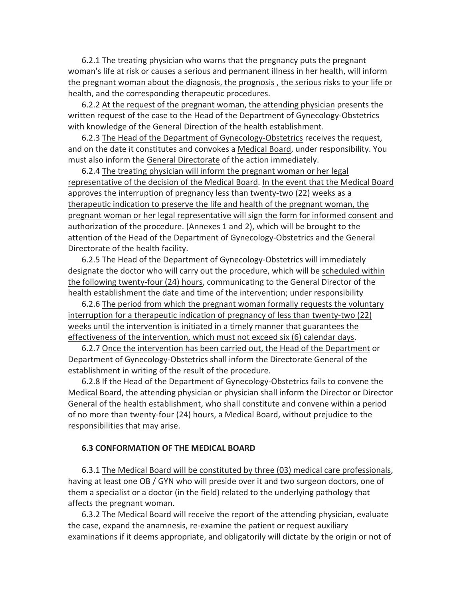6.2.1 The treating physician who warns that the pregnancy puts the pregnant woman's life at risk or causes a serious and permanent illness in her health, will inform the pregnant woman about the diagnosis, the prognosis, the serious risks to your life or health, and the corresponding therapeutic procedures.

6.2.2 At the request of the pregnant woman, the attending physician presents the written request of the case to the Head of the Department of Gynecology-Obstetrics with knowledge of the General Direction of the health establishment.

6.2.3 The Head of the Department of Gynecology-Obstetrics receives the request, and on the date it constitutes and convokes a Medical Board, under responsibility. You must also inform the General Directorate of the action immediately.

6.2.4 The treating physician will inform the pregnant woman or her legal representative of the decision of the Medical Board. In the event that the Medical Board approves the interruption of pregnancy less than twenty-two (22) weeks as a therapeutic indication to preserve the life and health of the pregnant woman, the pregnant woman or her legal representative will sign the form for informed consent and authorization of the procedure. (Annexes 1 and 2), which will be brought to the attention of the Head of the Department of Gynecology-Obstetrics and the General Directorate of the health facility.

6.2.5 The Head of the Department of Gynecology-Obstetrics will immediately designate the doctor who will carry out the procedure, which will be scheduled within the following twenty-four (24) hours, communicating to the General Director of the health establishment the date and time of the intervention; under responsibility

6.2.6 The period from which the pregnant woman formally requests the voluntary interruption for a therapeutic indication of pregnancy of less than twenty-two (22) weeks until the intervention is initiated in a timely manner that guarantees the effectiveness of the intervention, which must not exceed six  $(6)$  calendar days.

6.2.7 Once the intervention has been carried out, the Head of the Department or Department of Gynecology-Obstetrics shall inform the Directorate General of the establishment in writing of the result of the procedure.

6.2.8 If the Head of the Department of Gynecology-Obstetrics fails to convene the Medical Board, the attending physician or physician shall inform the Director or Director General of the health establishment, who shall constitute and convene within a period of no more than twenty-four (24) hours, a Medical Board, without prejudice to the responsibilities that may arise.

#### **6.3 CONFORMATION OF THE MEDICAL BOARD**

6.3.1 The Medical Board will be constituted by three (03) medical care professionals, having at least one OB / GYN who will preside over it and two surgeon doctors, one of them a specialist or a doctor (in the field) related to the underlying pathology that affects the pregnant woman.

6.3.2 The Medical Board will receive the report of the attending physician, evaluate the case, expand the anamnesis, re-examine the patient or request auxiliary examinations if it deems appropriate, and obligatorily will dictate by the origin or not of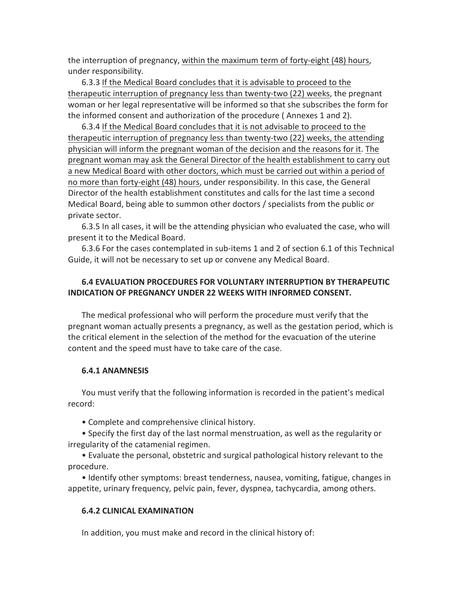the interruption of pregnancy, within the maximum term of forty-eight (48) hours, under responsibility.

6.3.3 If the Medical Board concludes that it is advisable to proceed to the therapeutic interruption of pregnancy less than twenty-two (22) weeks, the pregnant woman or her legal representative will be informed so that she subscribes the form for the informed consent and authorization of the procedure (Annexes 1 and 2).

6.3.4 If the Medical Board concludes that it is not advisable to proceed to the therapeutic interruption of pregnancy less than twenty-two (22) weeks, the attending physician will inform the pregnant woman of the decision and the reasons for it. The pregnant woman may ask the General Director of the health establishment to carry out a new Medical Board with other doctors, which must be carried out within a period of no more than forty-eight (48) hours, under responsibility. In this case, the General Director of the health establishment constitutes and calls for the last time a second Medical Board, being able to summon other doctors / specialists from the public or private sector.

6.3.5 In all cases, it will be the attending physician who evaluated the case, who will present it to the Medical Board.

6.3.6 For the cases contemplated in sub-items 1 and 2 of section 6.1 of this Technical Guide, it will not be necessary to set up or convene any Medical Board.

## **6.4 EVALUATION PROCEDURES FOR VOLUNTARY INTERRUPTION BY THERAPEUTIC INDICATION OF PREGNANCY UNDER 22 WEEKS WITH INFORMED CONSENT.**

The medical professional who will perform the procedure must verify that the pregnant woman actually presents a pregnancy, as well as the gestation period, which is the critical element in the selection of the method for the evacuation of the uterine content and the speed must have to take care of the case.

### **6.4.1 ANAMNESIS**

You must verify that the following information is recorded in the patient's medical record: 

• Complete and comprehensive clinical history.

• Specify the first day of the last normal menstruation, as well as the regularity or irregularity of the catamenial regimen.

• Evaluate the personal, obstetric and surgical pathological history relevant to the procedure. 

• Identify other symptoms: breast tenderness, nausea, vomiting, fatigue, changes in appetite, urinary frequency, pelvic pain, fever, dyspnea, tachycardia, among others.

### **6.4.2 CLINICAL EXAMINATION**

In addition, you must make and record in the clinical history of: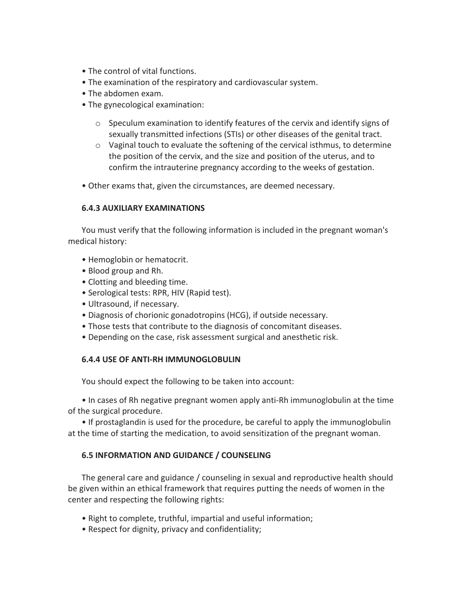- The control of vital functions.
- The examination of the respiratory and cardiovascular system.
- The abdomen exam.
- The gynecological examination:
	- $\circ$  Speculum examination to identify features of the cervix and identify signs of sexually transmitted infections (STIs) or other diseases of the genital tract.
	- $\circ$  Vaginal touch to evaluate the softening of the cervical isthmus, to determine the position of the cervix, and the size and position of the uterus, and to confirm the intrauterine pregnancy according to the weeks of gestation.
- Other exams that, given the circumstances, are deemed necessary.

### **6.4.3 AUXILIARY EXAMINATIONS**

You must verify that the following information is included in the pregnant woman's medical history:

- Hemoglobin or hematocrit.
- Blood group and Rh.
- Clotting and bleeding time.
- Serological tests: RPR, HIV (Rapid test).
- Ultrasound, if necessary.
- Diagnosis of chorionic gonadotropins (HCG), if outside necessary.
- Those tests that contribute to the diagnosis of concomitant diseases.
- Depending on the case, risk assessment surgical and anesthetic risk.

### **6.4.4 USE OF ANTI-RH IMMUNOGLOBULIN**

You should expect the following to be taken into account:

• In cases of Rh negative pregnant women apply anti-Rh immunoglobulin at the time of the surgical procedure.

• If prostaglandin is used for the procedure, be careful to apply the immunoglobulin at the time of starting the medication, to avoid sensitization of the pregnant woman.

## **6.5 INFORMATION AND GUIDANCE / COUNSELING**

The general care and guidance / counseling in sexual and reproductive health should be given within an ethical framework that requires putting the needs of women in the center and respecting the following rights:

- Right to complete, truthful, impartial and useful information;
- Respect for dignity, privacy and confidentiality;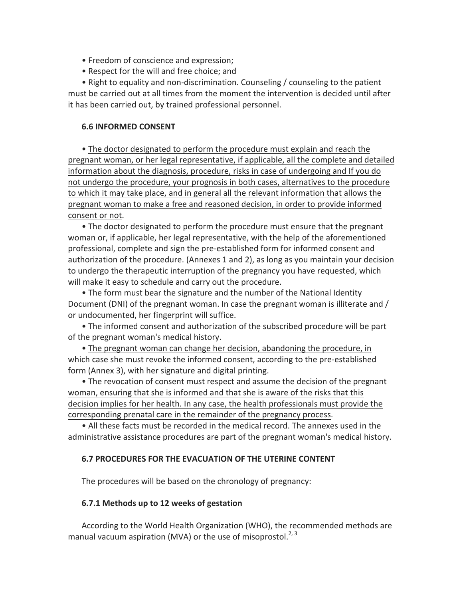- Freedom of conscience and expression;
- Respect for the will and free choice; and

• Right to equality and non-discrimination. Counseling / counseling to the patient must be carried out at all times from the moment the intervention is decided until after it has been carried out, by trained professional personnel.

#### **6.6 INFORMED CONSENT**

• The doctor designated to perform the procedure must explain and reach the pregnant woman, or her legal representative, if applicable, all the complete and detailed information about the diagnosis, procedure, risks in case of undergoing and If you do not undergo the procedure, your prognosis in both cases, alternatives to the procedure to which it may take place, and in general all the relevant information that allows the pregnant woman to make a free and reasoned decision, in order to provide informed consent or not.

• The doctor designated to perform the procedure must ensure that the pregnant woman or, if applicable, her legal representative, with the help of the aforementioned professional, complete and sign the pre-established form for informed consent and authorization of the procedure. (Annexes 1 and 2), as long as you maintain your decision to undergo the therapeutic interruption of the pregnancy you have requested, which will make it easy to schedule and carry out the procedure.

• The form must bear the signature and the number of the National Identity Document (DNI) of the pregnant woman. In case the pregnant woman is illiterate and / or undocumented, her fingerprint will suffice.

• The informed consent and authorization of the subscribed procedure will be part of the pregnant woman's medical history.

• The pregnant woman can change her decision, abandoning the procedure, in which case she must revoke the informed consent, according to the pre-established form (Annex 3), with her signature and digital printing.

• The revocation of consent must respect and assume the decision of the pregnant woman, ensuring that she is informed and that she is aware of the risks that this decision implies for her health. In any case, the health professionals must provide the corresponding prenatal care in the remainder of the pregnancy process.

• All these facts must be recorded in the medical record. The annexes used in the administrative assistance procedures are part of the pregnant woman's medical history.

### **6.7 PROCEDURES FOR THE EVACUATION OF THE UTERINE CONTENT**

The procedures will be based on the chronology of pregnancy:

#### **6.7.1 Methods up to 12 weeks of gestation**

According to the World Health Organization (WHO), the recommended methods are manual vacuum aspiration (MVA) or the use of misoprostol.<sup>2, 3</sup>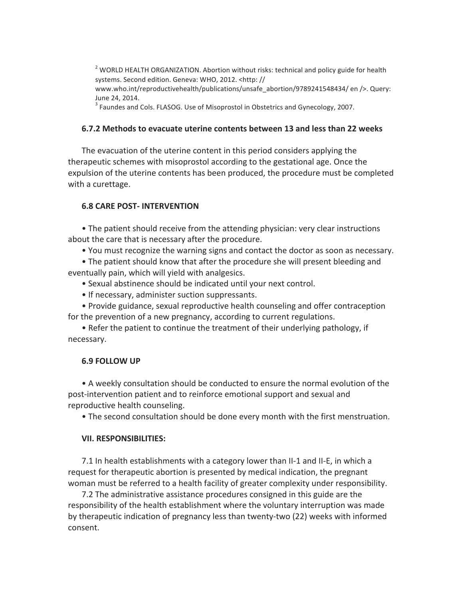$2$  WORLD HEALTH ORGANIZATION. Abortion without risks: technical and policy guide for health systems. Second edition. Geneva: WHO, 2012. <http:// www.who.int/reproductivehealth/publications/unsafe\_abortion/9789241548434/ en />. Query: June 24, 2014.<br> $3$  Faundes and Cols. FLASOG. Use of Misoprostol in Obstetrics and Gynecology, 2007.

#### **6.7.2 Methods to evacuate uterine contents between 13 and less than 22 weeks**

The evacuation of the uterine content in this period considers applying the therapeutic schemes with misoprostol according to the gestational age. Once the expulsion of the uterine contents has been produced, the procedure must be completed with a curettage.

#### **6.8 CARE POST-INTERVENTION**

• The patient should receive from the attending physician: very clear instructions about the care that is necessary after the procedure.

• You must recognize the warning signs and contact the doctor as soon as necessary.

• The patient should know that after the procedure she will present bleeding and eventually pain, which will yield with analgesics.

• Sexual abstinence should be indicated until your next control.

• If necessary, administer suction suppressants.

• Provide guidance, sexual reproductive health counseling and offer contraception for the prevention of a new pregnancy, according to current regulations.

• Refer the patient to continue the treatment of their underlying pathology, if necessary. 

#### **6.9 FOLLOW UP**

• A weekly consultation should be conducted to ensure the normal evolution of the post-intervention patient and to reinforce emotional support and sexual and reproductive health counseling.

• The second consultation should be done every month with the first menstruation.

#### **VII. RESPONSIBILITIES:**

7.1 In health establishments with a category lower than II-1 and II-E, in which a request for therapeutic abortion is presented by medical indication, the pregnant woman must be referred to a health facility of greater complexity under responsibility.

7.2 The administrative assistance procedures consigned in this guide are the responsibility of the health establishment where the voluntary interruption was made by therapeutic indication of pregnancy less than twenty-two (22) weeks with informed consent.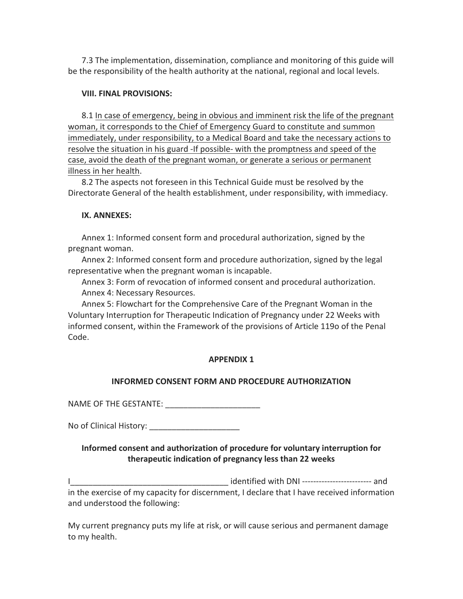7.3 The implementation, dissemination, compliance and monitoring of this guide will be the responsibility of the health authority at the national, regional and local levels.

### **VIII. FINAL PROVISIONS:**

8.1 In case of emergency, being in obvious and imminent risk the life of the pregnant woman, it corresponds to the Chief of Emergency Guard to constitute and summon immediately, under responsibility, to a Medical Board and take the necessary actions to resolve the situation in his guard -If possible- with the promptness and speed of the case, avoid the death of the pregnant woman, or generate a serious or permanent illness in her health.

8.2 The aspects not foreseen in this Technical Guide must be resolved by the Directorate General of the health establishment, under responsibility, with immediacy.

### **IX. ANNEXES:**

Annex 1: Informed consent form and procedural authorization, signed by the pregnant woman.

Annex 2: Informed consent form and procedure authorization, signed by the legal representative when the pregnant woman is incapable.

Annex 3: Form of revocation of informed consent and procedural authorization. Annex 4: Necessary Resources.

Annex 5: Flowchart for the Comprehensive Care of the Pregnant Woman in the Voluntary Interruption for Therapeutic Indication of Pregnancy under 22 Weeks with informed consent, within the Framework of the provisions of Article 119o of the Penal Code.

## **APPENDIX 1**

## **INFORMED CONSENT FORM AND PROCEDURE AUTHORIZATION**

NAME OF THE GESTANTE:

No of Clinical History:  $\Box$ 

## **Informed consent and authorization of procedure for voluntary interruption for therapeutic indication of pregnancy less than 22 weeks**

identified with DNI ------------------------- and

in the exercise of my capacity for discernment, I declare that I have received information and understood the following:

My current pregnancy puts my life at risk, or will cause serious and permanent damage to my health.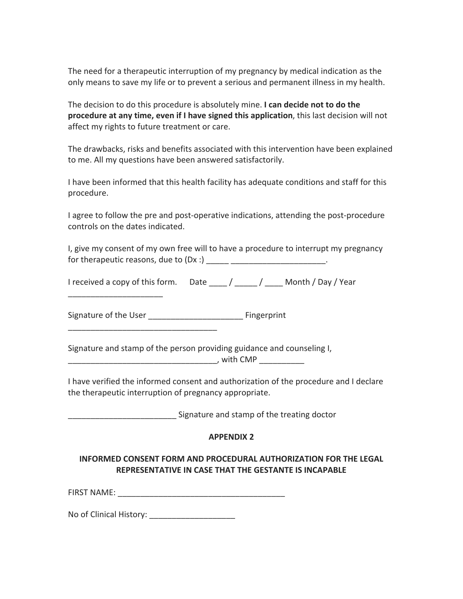The need for a therapeutic interruption of my pregnancy by medical indication as the only means to save my life or to prevent a serious and permanent illness in my health.

The decision to do this procedure is absolutely mine. I can decide not to do the **procedure at any time, even if I have signed this application**, this last decision will not affect my rights to future treatment or care.

The drawbacks, risks and benefits associated with this intervention have been explained to me. All my questions have been answered satisfactorily.

I have been informed that this health facility has adequate conditions and staff for this procedure. 

I agree to follow the pre and post-operative indications, attending the post-procedure controls on the dates indicated. 

I, give my consent of my own free will to have a procedure to interrupt my pregnancy for therapeutic reasons, due to (Dx :) \_\_\_\_\_\_ \_\_\_\_\_\_\_\_\_\_\_\_\_\_\_\_\_\_\_\_\_\_\_\_.

I received a copy of this form. Date  $\frac{1}{\sqrt{2}}$   $\frac{1}{\sqrt{2}}$  Month / Day / Year

Signature of the User \_\_\_\_\_\_\_\_\_\_\_\_\_\_\_\_\_\_\_\_\_\_\_\_\_\_\_\_\_\_\_\_ Fingerprint

\_\_\_\_\_\_\_\_\_\_\_\_\_\_\_\_\_\_\_\_\_ 

\_\_\_\_\_\_\_\_\_\_\_\_\_\_\_\_\_\_\_\_\_\_\_\_\_\_\_\_\_\_\_\_\_ 

Signature and stamp of the person providing guidance and counseling I,

\_\_\_\_\_\_\_\_\_\_\_\_\_\_\_\_\_\_\_\_\_\_\_\_\_\_\_\_\_\_\_\_\_, with CMP \_\_\_\_\_\_\_\_\_\_ 

I have verified the informed consent and authorization of the procedure and I declare the therapeutic interruption of pregnancy appropriate.

Signature and stamp of the treating doctor

## **APPENDIX 2**

# **INFORMED CONSENT FORM AND PROCEDURAL AUTHORIZATION FOR THE LEGAL REPRESENTATIVE IN CASE THAT THE GESTANTE IS INCAPABLE**

FIRST NAME: \_\_\_\_\_\_\_\_\_\_\_\_\_\_\_\_\_\_\_\_\_\_\_\_\_\_\_\_\_\_\_\_\_\_\_\_\_ 

No of Clinical History:  $\Box$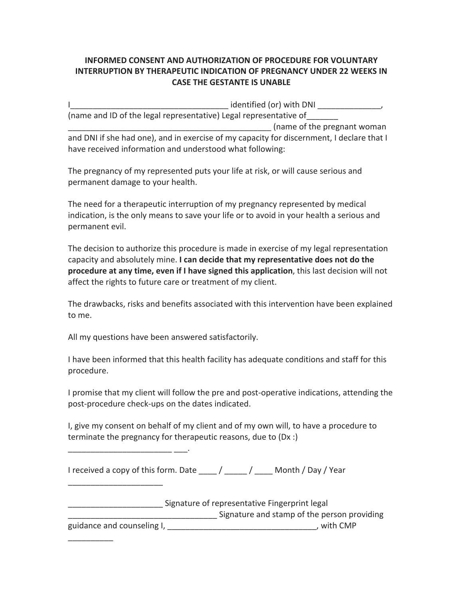# **INFORMED CONSENT AND AUTHORIZATION OF PROCEDURE FOR VOLUNTARY INTERRUPTION BY THERAPEUTIC INDICATION OF PREGNANCY UNDER 22 WEEKS IN CASE THE GESTANTE IS UNABLE**

I\_\_\_\_\_\_\_\_\_\_\_\_\_\_\_\_\_\_\_\_\_\_\_\_\_\_\_\_\_\_\_\_\_\_\_ identified (or) with DNI \_\_\_\_\_\_\_\_\_\_\_\_\_\_, (name and ID of the legal representative) Legal representative of (name of the pregnant woman and DNI if she had one), and in exercise of my capacity for discernment, I declare that I have received information and understood what following:

The pregnancy of my represented puts your life at risk, or will cause serious and permanent damage to your health.

The need for a therapeutic interruption of my pregnancy represented by medical indication, is the only means to save your life or to avoid in your health a serious and permanent evil.

The decision to authorize this procedure is made in exercise of my legal representation capacity and absolutely mine. I can decide that my representative does not do the **procedure at any time, even if I have signed this application**, this last decision will not affect the rights to future care or treatment of my client.

The drawbacks, risks and benefits associated with this intervention have been explained to me.

All my questions have been answered satisfactorily.

 $\frac{1}{2}$  ,  $\frac{1}{2}$  ,  $\frac{1}{2}$  ,  $\frac{1}{2}$  ,  $\frac{1}{2}$  ,  $\frac{1}{2}$  ,  $\frac{1}{2}$ 

\_\_\_\_\_\_\_\_\_\_\_\_\_\_\_\_\_\_\_\_\_ 

 $\overline{\phantom{a}}$   $\overline{\phantom{a}}$   $\overline{\phantom{a}}$   $\overline{\phantom{a}}$   $\overline{\phantom{a}}$   $\overline{\phantom{a}}$   $\overline{\phantom{a}}$   $\overline{\phantom{a}}$   $\overline{\phantom{a}}$   $\overline{\phantom{a}}$   $\overline{\phantom{a}}$   $\overline{\phantom{a}}$   $\overline{\phantom{a}}$   $\overline{\phantom{a}}$   $\overline{\phantom{a}}$   $\overline{\phantom{a}}$   $\overline{\phantom{a}}$   $\overline{\phantom{a}}$   $\overline{\$ 

I have been informed that this health facility has adequate conditions and staff for this procedure. 

I promise that my client will follow the pre and post-operative indications, attending the post-procedure check-ups on the dates indicated.

I, give my consent on behalf of my client and of my own will, to have a procedure to terminate the pregnancy for therapeutic reasons, due to (Dx :)

I received a copy of this form. Date  $\frac{1}{2}$  / Month / Day / Year

Signature of representative Fingerprint legal **EXALGE ADDEN THE SUBDINGLY CONTROLLER THE SUBDINGLY CONTROLLER TO A LIGHTER STATES IN A LIGHTER STATES IS NOT** guidance and counseling I, \_\_\_\_\_\_\_\_\_\_\_\_\_\_\_\_\_\_\_\_\_\_\_\_\_\_\_\_\_\_\_\_\_, with CMP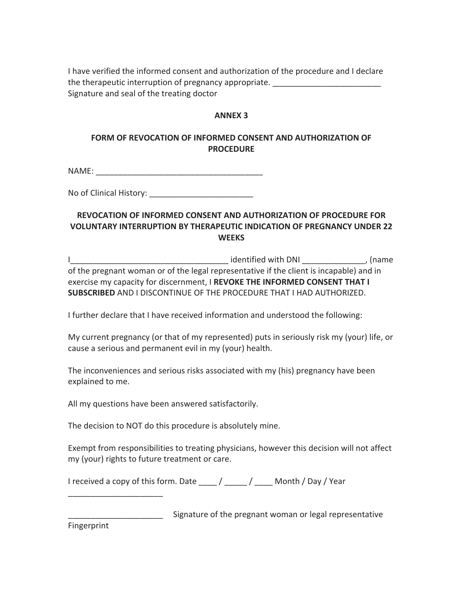I have verified the informed consent and authorization of the procedure and I declare the therapeutic interruption of pregnancy appropriate. \_\_\_\_\_\_\_\_\_\_\_\_\_\_\_\_\_\_\_\_\_\_\_\_\_ Signature and seal of the treating doctor

### **ANNEX 3**

## **FORM OF REVOCATION OF INFORMED CONSENT AND AUTHORIZATION OF PROCEDURE**

NAME: \_\_\_\_\_\_\_\_\_\_\_\_\_\_\_\_\_\_\_\_\_\_\_\_\_\_\_\_\_\_\_\_\_\_\_\_\_ 

No of Clinical History: \_\_\_\_\_\_\_\_\_\_\_\_\_\_\_\_\_\_\_\_\_\_\_ 

## **REVOCATION OF INFORMED CONSENT AND AUTHORIZATION OF PROCEDURE FOR VOLUNTARY INTERRUPTION BY THERAPEUTIC INDICATION OF PREGNANCY UNDER 22 WEEKS**

I Communist Communist Communist Communist Communist Communist Communist Communist Communist Communist Communist Communist Communist Communist Communist Communist Communist Communist Communist Communist Communist Communist of the pregnant woman or of the legal representative if the client is incapable) and in exercise my capacity for discernment, I REVOKE THE INFORMED CONSENT THAT I **SUBSCRIBED** AND I DISCONTINUE OF THE PROCEDURE THAT I HAD AUTHORIZED.

I further declare that I have received information and understood the following:

My current pregnancy (or that of my represented) puts in seriously risk my (your) life, or cause a serious and permanent evil in my (your) health.

The inconveniences and serious risks associated with my (his) pregnancy have been explained to me.

All my questions have been answered satisfactorily.

The decision to NOT do this procedure is absolutely mine.

Exempt from responsibilities to treating physicians, however this decision will not affect my (your) rights to future treatment or care.

I received a copy of this form. Date  $\frac{1}{\sqrt{2}}$  / \_\_\_\_\_ / \_\_\_\_\_ Month / Day / Year

**EXECOM** Signature of the pregnant woman or legal representative

Fingerprint

\_\_\_\_\_\_\_\_\_\_\_\_\_\_\_\_\_\_\_\_\_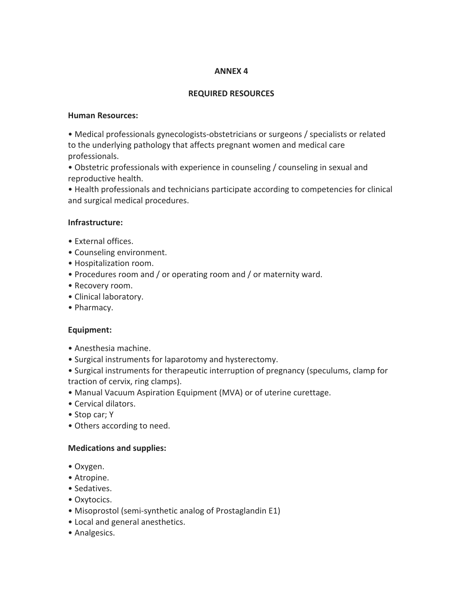### **ANNEX 4**

## **REQUIRED RESOURCES**

### **Human Resources:**

• Medical professionals gynecologists-obstetricians or surgeons / specialists or related to the underlying pathology that affects pregnant women and medical care professionals. 

• Obstetric professionals with experience in counseling / counseling in sexual and reproductive health.

• Health professionals and technicians participate according to competencies for clinical and surgical medical procedures.

### **Infrastructure:**

- External offices.
- Counseling environment.
- Hospitalization room.
- Procedures room and / or operating room and / or maternity ward.
- Recovery room.
- Clinical laboratory.
- • Pharmacy.

### Equipment:

- Anesthesia machine.
- Surgical instruments for laparotomy and hysterectomy.
- Surgical instruments for therapeutic interruption of pregnancy (speculums, clamp for traction of cervix, ring clamps).
- Manual Vacuum Aspiration Equipment (MVA) or of uterine curettage.
- Cervical dilators.
- • Stop car; Y
- Others according to need.

### **Medications and supplies:**

- • Oxygen.
- Atropine.
- Sedatives.
- Oxytocics.
- Misoprostol (semi-synthetic analog of Prostaglandin E1)
- Local and general anesthetics.
- • Analgesics.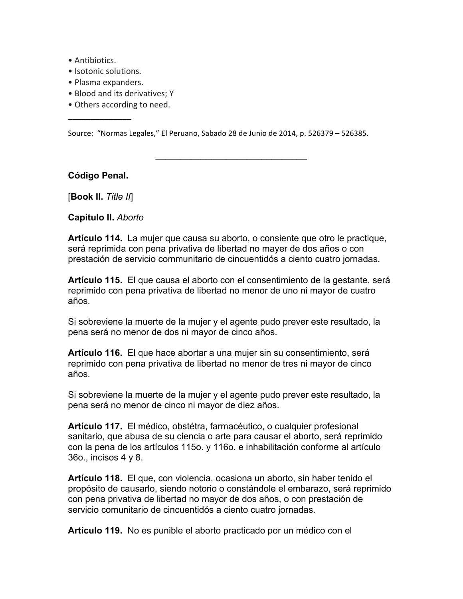- Antibiotics.
- Isotonic solutions.
- Plasma expanders.
- Blood and its derivatives: Y
- Others according to need.

Source: "Normas Legales," El Peruano, Sabado 28 de Junio de 2014, p. 526379 – 526385.

 $\mathcal{L}_\text{max}$  and  $\mathcal{L}_\text{max}$  and  $\mathcal{L}_\text{max}$ 

**Código Penal.**

 $\overline{\phantom{a}}$  , where  $\overline{\phantom{a}}$ 

[**Book II.** *Title II*]

**Capitulo II.** *Aborto*

**Artículo 114.** La mujer que causa su aborto, o consiente que otro le practique, será reprimida con pena privativa de libertad no mayer de dos años o con prestación de servicio communitario de cincuentidós a ciento cuatro jornadas.

**Artículo 115.** El que causa el aborto con el consentimiento de la gestante, será reprimido con pena privativa de libertad no menor de uno ni mayor de cuatro años.

Si sobreviene la muerte de la mujer y el agente pudo prever este resultado, la pena será no menor de dos ni mayor de cinco años.

**Artículo 116.** El que hace abortar a una mujer sin su consentimiento, será reprimido con pena privativa de libertad no menor de tres ni mayor de cinco años.

Si sobreviene la muerte de la mujer y el agente pudo prever este resultado, la pena será no menor de cinco ni mayor de diez años.

**Artículo 117.** El médico, obstétra, farmacéutico, o cualquier profesional sanitario, que abusa de su ciencia o arte para causar el aborto, será reprimido con la pena de los artículos 115o. y 116o. e inhabilitación conforme al artículo 36o., incisos 4 y 8.

**Artículo 118.** El que, con violencia, ocasiona un aborto, sin haber tenido el propósito de causarlo, siendo notorio o constándole el embarazo, será reprimido con pena privativa de libertad no mayor de dos años, o con prestación de servicio comunitario de cincuentidós a ciento cuatro jornadas.

**Artículo 119.** No es punible el aborto practicado por un médico con el